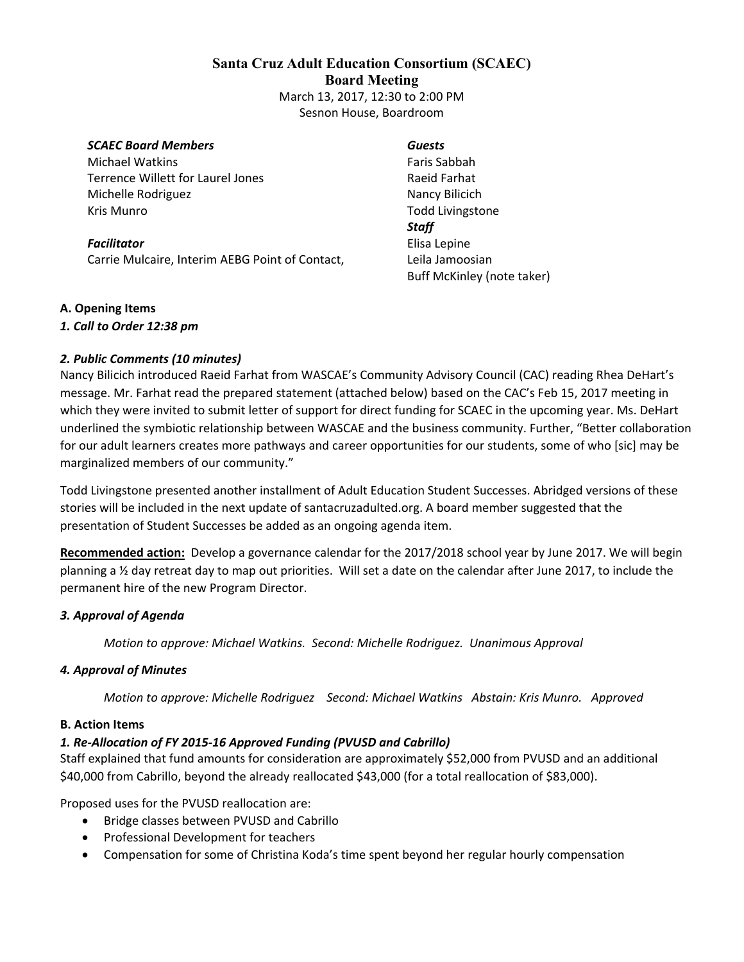## **Santa Cruz Adult Education Consortium (SCAEC) Board Meeting**  March 13, 2017, 12:30 to 2:00 PM Sesnon House, Boardroom

#### *SCAEC Board Members*

Michael Watkins Terrence Willett for Laurel Jones Michelle Rodriguez Kris Munro

*Facilitator* Carrie Mulcaire, Interim AEBG Point of Contact,

#### *Guests*

Faris Sabbah Raeid Farhat Nancy Bilicich Todd Livingstone *Staff* Elisa Lepine Leila Jamoosian Buff McKinley (note taker)

#### **A. Opening Items**

#### *1. Call to Order 12:38 pm*

#### *2. Public Comments (10 minutes)*

Nancy Bilicich introduced Raeid Farhat from WASCAE's Community Advisory Council (CAC) reading Rhea DeHart's message. Mr. Farhat read the prepared statement (attached below) based on the CAC's Feb 15, 2017 meeting in which they were invited to submit letter of support for direct funding for SCAEC in the upcoming year. Ms. DeHart underlined the symbiotic relationship between WASCAE and the business community. Further, "Better collaboration for our adult learners creates more pathways and career opportunities for our students, some of who [sic] may be marginalized members of our community."

Todd Livingstone presented another installment of Adult Education Student Successes. Abridged versions of these stories will be included in the next update of santacruzadulted.org. A board member suggested that the presentation of Student Successes be added as an ongoing agenda item.

**Recommended action:** Develop a governance calendar for the 2017/2018 school year by June 2017. We will begin planning a ½ day retreat day to map out priorities. Will set a date on the calendar after June 2017, to include the permanent hire of the new Program Director.

#### *3. Approval of Agenda*

*Motion to approve: Michael Watkins. Second: Michelle Rodriguez. Unanimous Approval* 

#### *4. Approval of Minutes*

*Motion to approve: Michelle Rodriguez Second: Michael Watkins Abstain: Kris Munro. Approved* 

#### **B. Action Items**

#### *1. Re‐Allocation of FY 2015‐16 Approved Funding (PVUSD and Cabrillo)*

Staff explained that fund amounts for consideration are approximately \$52,000 from PVUSD and an additional \$40,000 from Cabrillo, beyond the already reallocated \$43,000 (for a total reallocation of \$83,000).

Proposed uses for the PVUSD reallocation are:

- Bridge classes between PVUSD and Cabrillo
- Professional Development for teachers
- Compensation for some of Christina Koda's time spent beyond her regular hourly compensation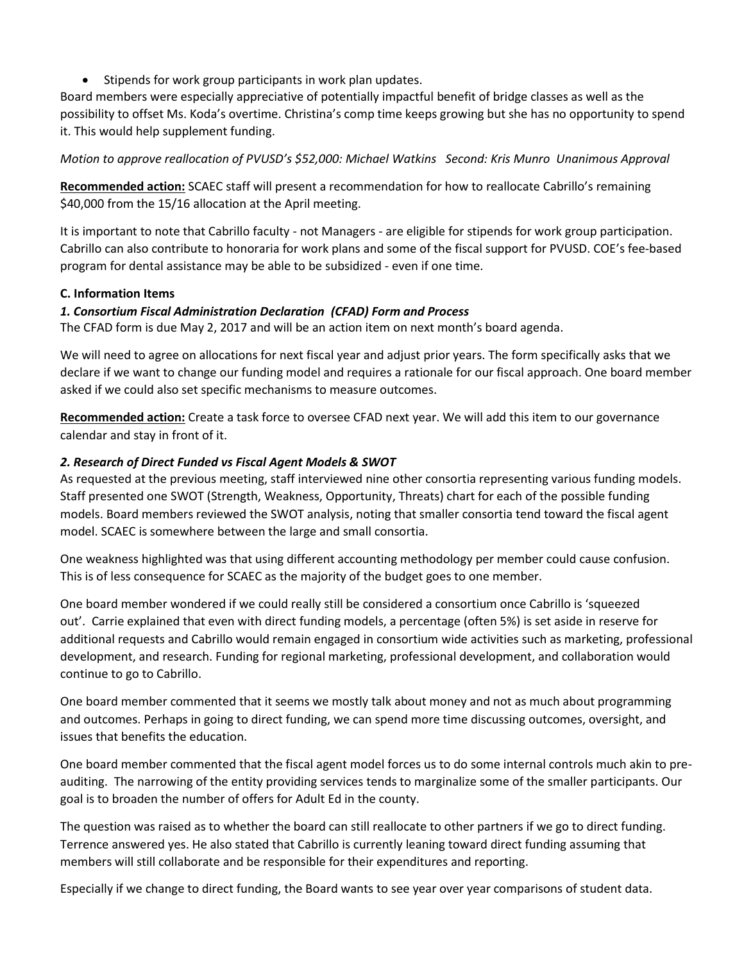• Stipends for work group participants in work plan updates.

Board members were especially appreciative of potentially impactful benefit of bridge classes as well as the possibility to offset Ms. Koda's overtime. Christina's comp time keeps growing but she has no opportunity to spend it. This would help supplement funding.

*Motion to approve reallocation of PVUSD's \$52,000: Michael Watkins Second: Kris Munro Unanimous Approval*

**Recommended action:** SCAEC staff will present a recommendation for how to reallocate Cabrillo's remaining \$40,000 from the 15/16 allocation at the April meeting.

It is important to note that Cabrillo faculty - not Managers - are eligible for stipends for work group participation. Cabrillo can also contribute to honoraria for work plans and some of the fiscal support for PVUSD. COE's fee-based program for dental assistance may be able to be subsidized - even if one time.

## **C. Information Items**

## *1. Consortium Fiscal Administration Declaration (CFAD) Form and Process*

The CFAD form is due May 2, 2017 and will be an action item on next month's board agenda.

We will need to agree on allocations for next fiscal year and adjust prior years. The form specifically asks that we declare if we want to change our funding model and requires a rationale for our fiscal approach. One board member asked if we could also set specific mechanisms to measure outcomes.

**Recommended action:** Create a task force to oversee CFAD next year. We will add this item to our governance calendar and stay in front of it.

## *2. Research of Direct Funded vs Fiscal Agent Models & SWOT*

As requested at the previous meeting, staff interviewed nine other consortia representing various funding models. Staff presented one SWOT (Strength, Weakness, Opportunity, Threats) chart for each of the possible funding models. Board members reviewed the SWOT analysis, noting that smaller consortia tend toward the fiscal agent model. SCAEC is somewhere between the large and small consortia.

One weakness highlighted was that using different accounting methodology per member could cause confusion. This is of less consequence for SCAEC as the majority of the budget goes to one member.

One board member wondered if we could really still be considered a consortium once Cabrillo is 'squeezed out'. Carrie explained that even with direct funding models, a percentage (often 5%) is set aside in reserve for additional requests and Cabrillo would remain engaged in consortium wide activities such as marketing, professional development, and research. Funding for regional marketing, professional development, and collaboration would continue to go to Cabrillo.

One board member commented that it seems we mostly talk about money and not as much about programming and outcomes. Perhaps in going to direct funding, we can spend more time discussing outcomes, oversight, and issues that benefits the education.

One board member commented that the fiscal agent model forces us to do some internal controls much akin to preauditing. The narrowing of the entity providing services tends to marginalize some of the smaller participants. Our goal is to broaden the number of offers for Adult Ed in the county.

The question was raised as to whether the board can still reallocate to other partners if we go to direct funding. Terrence answered yes. He also stated that Cabrillo is currently leaning toward direct funding assuming that members will still collaborate and be responsible for their expenditures and reporting.

Especially if we change to direct funding, the Board wants to see year over year comparisons of student data.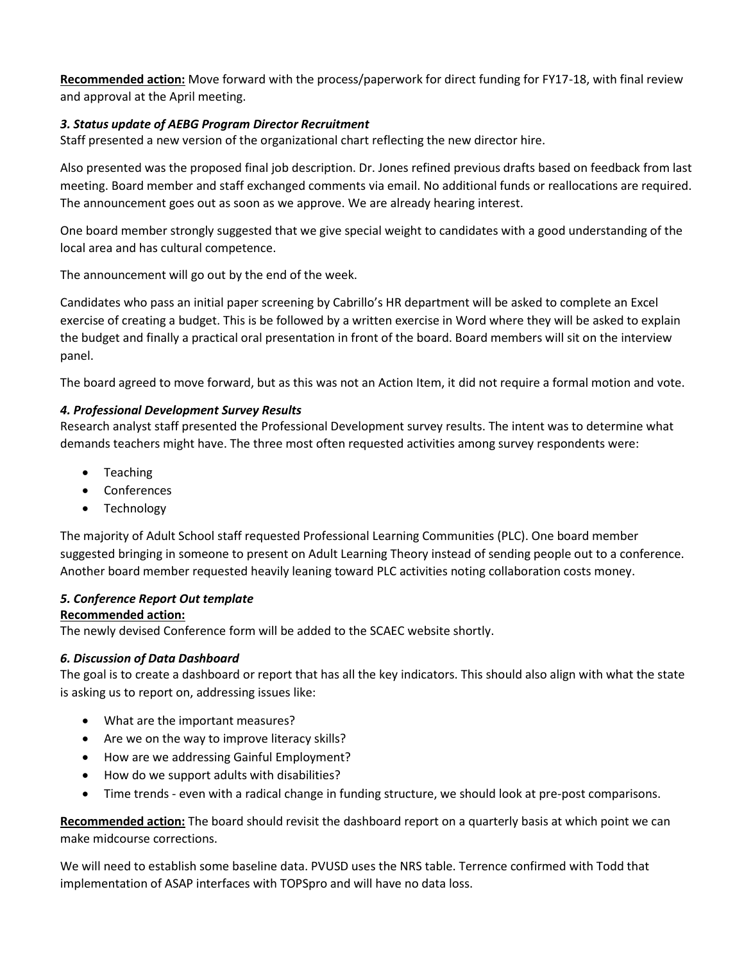**Recommended action:** Move forward with the process/paperwork for direct funding for FY17-18, with final review and approval at the April meeting.

## *3. Status update of AEBG Program Director Recruitment*

Staff presented a new version of the organizational chart reflecting the new director hire.

Also presented was the proposed final job description. Dr. Jones refined previous drafts based on feedback from last meeting. Board member and staff exchanged comments via email. No additional funds or reallocations are required. The announcement goes out as soon as we approve. We are already hearing interest.

One board member strongly suggested that we give special weight to candidates with a good understanding of the local area and has cultural competence.

The announcement will go out by the end of the week.

Candidates who pass an initial paper screening by Cabrillo's HR department will be asked to complete an Excel exercise of creating a budget. This is be followed by a written exercise in Word where they will be asked to explain the budget and finally a practical oral presentation in front of the board. Board members will sit on the interview panel.

The board agreed to move forward, but as this was not an Action Item, it did not require a formal motion and vote.

## *4. Professional Development Survey Results*

Research analyst staff presented the Professional Development survey results. The intent was to determine what demands teachers might have. The three most often requested activities among survey respondents were:

- Teaching
- Conferences
- Technology

The majority of Adult School staff requested Professional Learning Communities (PLC). One board member suggested bringing in someone to present on Adult Learning Theory instead of sending people out to a conference. Another board member requested heavily leaning toward PLC activities noting collaboration costs money.

## *5. Conference Report Out template*

### **Recommended action:**

The newly devised Conference form will be added to the SCAEC website shortly.

## *6. Discussion of Data Dashboard*

The goal is to create a dashboard or report that has all the key indicators. This should also align with what the state is asking us to report on, addressing issues like:

- What are the important measures?
- Are we on the way to improve literacy skills?
- How are we addressing Gainful Employment?
- How do we support adults with disabilities?
- Time trends even with a radical change in funding structure, we should look at pre-post comparisons.

**Recommended action:** The board should revisit the dashboard report on a quarterly basis at which point we can make midcourse corrections.

We will need to establish some baseline data. PVUSD uses the NRS table. Terrence confirmed with Todd that implementation of ASAP interfaces with TOPSpro and will have no data loss.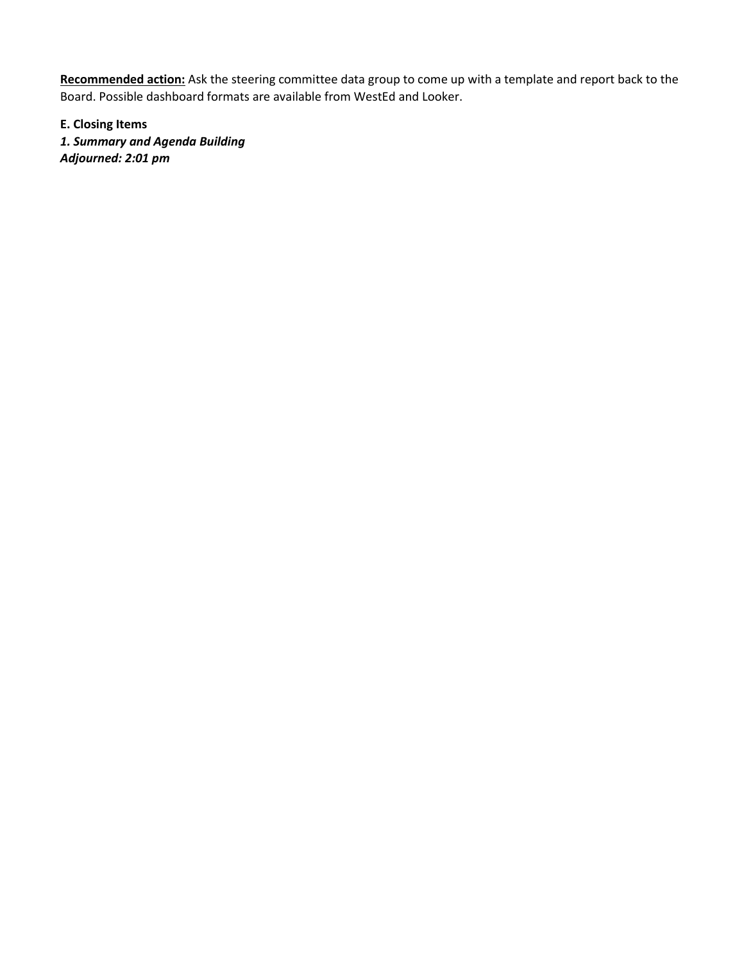**Recommended action:** Ask the steering committee data group to come up with a template and report back to the Board. Possible dashboard formats are available from WestEd and Looker.

**E. Closing Items**

*1. Summary and Agenda Building Adjourned: 2:01 pm*